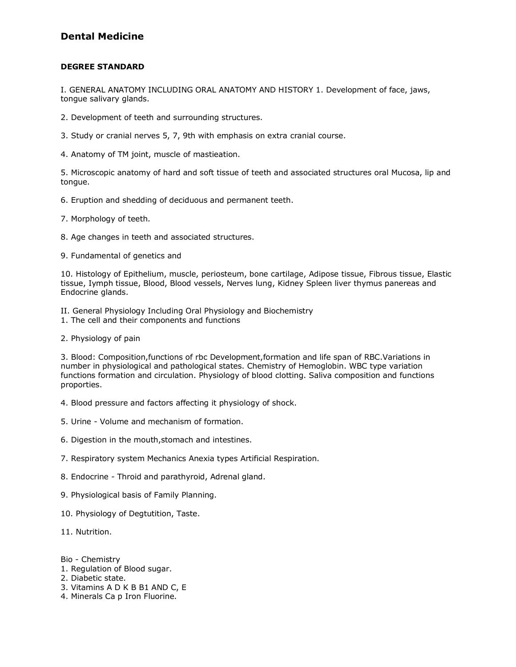## **Dental Medicine**

#### **DEGREE STANDARD**

I. GENERAL ANATOMY INCLUDING ORAL ANATOMY AND HISTORY 1. Development of face, jaws, tongue salivary glands.

- 2. Development of teeth and surrounding structures.
- 3. Study or cranial nerves 5, 7, 9th with emphasis on extra cranial course.
- 4. Anatomy of TM joint, muscle of mastieation.

5. Microscopic anatomy of hard and soft tissue of teeth and associated structures oral Mucosa, lip and tongue.

- 6. Eruption and shedding of deciduous and permanent teeth.
- 7. Morphology of teeth.
- 8. Age changes in teeth and associated structures.
- 9. Fundamental of genetics and

10. Histology of Epithelium, muscle, periosteum, bone cartilage, Adipose tissue, Fibrous tissue, Elastic tissue, Iymph tissue, Blood, Blood vessels, Nerves lung, Kidney Spleen liver thymus panereas and Endocrine glands.

- II. General Physiology Including Oral Physiology and Biochemistry
- 1. The cell and their components and functions
- 2. Physiology of pain

3. Blood: Composition,functions of rbc Development,formation and life span of RBC.Variations in number in physiological and pathological states. Chemistry of Hemoglobin. WBC type variation functions formation and circulation. Physiology of blood clotting. Saliva composition and functions proporties.

- 4. Blood pressure and factors affecting it physiology of shock.
- 5. Urine Volume and mechanism of formation.
- 6. Digestion in the mouth,stomach and intestines.
- 7. Respiratory system Mechanics Anexia types Artificial Respiration.
- 8. Endocrine Throid and parathyroid, Adrenal gland.
- 9. Physiological basis of Family Planning.
- 10. Physiology of Degtutition, Taste.
- 11. Nutrition.

Bio - Chemistry

- 1. Regulation of Blood sugar.
- 2. Diabetic state.
- 3. Vitamins A D K B B1 AND C, E
- 4. Minerals Ca p Iron Fluorine.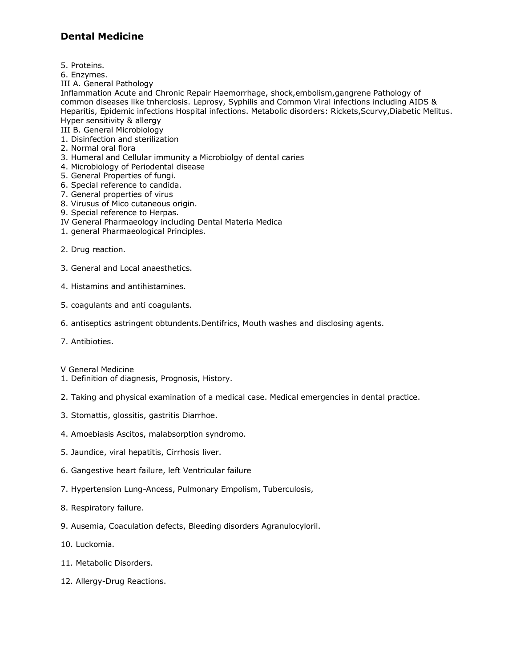## **Dental Medicine**

- 5. Proteins.
- 6. Enzymes.
- III A. General Pathology

Inflammation Acute and Chronic Repair Haemorrhage, shock,embolism,gangrene Pathology of common diseases like tnherclosis. Leprosy, Syphilis and Common Viral infections including AIDS & Heparitis, Epidemic infections Hospital infections. Metabolic disorders: Rickets,Scurvy,Diabetic Melitus. Hyper sensitivity & allergy

III B. General Microbiology

- 1. Disinfection and sterilization
- 2. Normal oral flora
- 3. Humeral and Cellular immunity a Microbiolgy of dental caries
- 4. Microbiology of Periodental disease
- 5. General Properties of fungi.
- 6. Special reference to candida.
- 7. General properties of virus
- 8. Virusus of Mico cutaneous origin.
- 9. Special reference to Herpas.
- IV General Pharmaeology including Dental Materia Medica
- 1. general Pharmaeological Principles.
- 2. Drug reaction.
- 3. General and Local anaesthetics.
- 4. Histamins and antihistamines.
- 5. coagulants and anti coagulants.
- 6. antiseptics astringent obtundents.Dentifrics, Mouth washes and disclosing agents.
- 7. Antibioties.
- V General Medicine
- 1. Definition of diagnesis, Prognosis, History.
- 2. Taking and physical examination of a medical case. Medical emergencies in dental practice.
- 3. Stomattis, glossitis, gastritis Diarrhoe.
- 4. Amoebiasis Ascitos, malabsorption syndromo.
- 5. Jaundice, viral hepatitis, Cirrhosis liver.
- 6. Gangestive heart failure, left Ventricular failure
- 7. Hypertension Lung-Ancess, Pulmonary Empolism, Tuberculosis,
- 8. Respiratory failure.
- 9. Ausemia, Coaculation defects, Bleeding disorders Agranulocyloril.
- 10. Luckomia.
- 11. Metabolic Disorders.
- 12. Allergy-Drug Reactions.